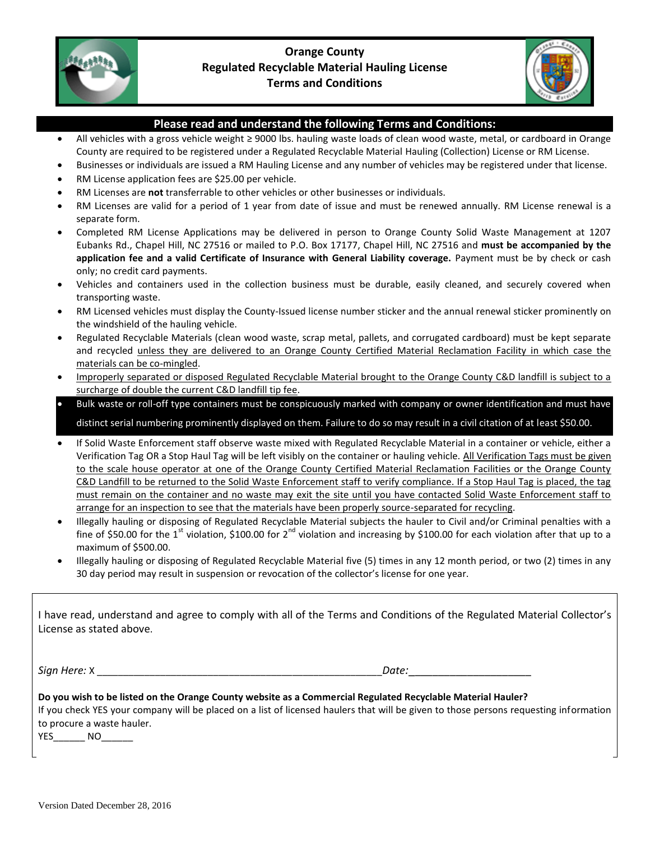

## **Orange County Regulated Recyclable Material Hauling License Terms and Conditions**



## **Please read and understand the following Terms and Conditions:**

- All vehicles with a gross vehicle weight ≥ 9000 lbs. hauling waste loads of clean wood waste, metal, or cardboard in Orange County are required to be registered under a Regulated Recyclable Material Hauling (Collection) License or RM License.
- Businesses or individuals are issued a RM Hauling License and any number of vehicles may be registered under that license.
- RM License application fees are \$25.00 per vehicle.
- RM Licenses are **not** transferrable to other vehicles or other businesses or individuals.
- RM Licenses are valid for a period of 1 year from date of issue and must be renewed annually. RM License renewal is a separate form.
- Completed RM License Applications may be delivered in person to Orange County Solid Waste Management at 1207 Eubanks Rd., Chapel Hill, NC 27516 or mailed to P.O. Box 17177, Chapel Hill, NC 27516 and **must be accompanied by the application fee and a valid Certificate of Insurance with General Liability coverage.** Payment must be by check or cash only; no credit card payments.
- Vehicles and containers used in the collection business must be durable, easily cleaned, and securely covered when transporting waste.
- RM Licensed vehicles must display the County-Issued license number sticker and the annual renewal sticker prominently on the windshield of the hauling vehicle.
- Regulated Recyclable Materials (clean wood waste, scrap metal, pallets, and corrugated cardboard) must be kept separate and recycled unless they are delivered to an Orange County Certified Material Reclamation Facility in which case the materials can be co-mingled.
- Improperly separated or disposed Regulated Recyclable Material brought to the Orange County C&D landfill is subject to a surcharge of double the current C&D landfill tip fee.
- Bulk waste or roll-off type containers must be conspicuously marked with company or owner identification and must have distinct serial numbering prominently displayed on them. Failure to do so may result in a civil citation of at least \$50.00.
- If Solid Waste Enforcement staff observe waste mixed with Regulated Recyclable Material in a container or vehicle, either a Verification Tag OR a Stop Haul Tag will be left visibly on the container or hauling vehicle. All Verification Tags must be given to the scale house operator at one of the Orange County Certified Material Reclamation Facilities or the Orange County C&D Landfill to be returned to the Solid Waste Enforcement staff to verify compliance. If a Stop Haul Tag is placed, the tag must remain on the container and no waste may exit the site until you have contacted Solid Waste Enforcement staff to arrange for an inspection to see that the materials have been properly source-separated for recycling.
- Illegally hauling or disposing of Regulated Recyclable Material subjects the hauler to Civil and/or Criminal penalties with a fine of \$50.00 for the 1<sup>st</sup> violation, \$100.00 for 2<sup>nd</sup> violation and increasing by \$100.00 for each violation after that up to a maximum of \$500.00.
- Illegally hauling or disposing of Regulated Recyclable Material five (5) times in any 12 month period, or two (2) times in any 30 day period may result in suspension or revocation of the collector's license for one year.

| License as stated above.                                                                                                                                 | I have read, understand and agree to comply with all of the Terms and Conditions of the Regulated Material Collector's                |
|----------------------------------------------------------------------------------------------------------------------------------------------------------|---------------------------------------------------------------------------------------------------------------------------------------|
| Sign Here: X                                                                                                                                             | Date:                                                                                                                                 |
| Do you wish to be listed on the Orange County website as a Commercial Regulated Recyclable Material Hauler?<br>to procure a waste hauler.<br>YES.<br>NO. | If you check YES your company will be placed on a list of licensed haulers that will be given to those persons requesting information |

Version Dated December 28, 2016